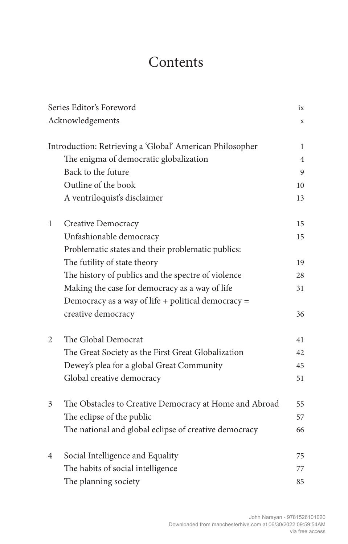## **Contents**

| Series Editor's Foreword<br>Acknowledgements |                                                          | ix             |
|----------------------------------------------|----------------------------------------------------------|----------------|
|                                              |                                                          | $\mathbf x$    |
|                                              | Introduction: Retrieving a 'Global' American Philosopher | 1              |
|                                              | The enigma of democratic globalization                   | $\overline{4}$ |
|                                              | Back to the future                                       | 9              |
|                                              | Outline of the book                                      | 10             |
|                                              | A ventriloquist's disclaimer                             | 13             |
| 1                                            | Creative Democracy                                       | 15             |
|                                              | Unfashionable democracy                                  | 15             |
|                                              | Problematic states and their problematic publics:        |                |
|                                              | The futility of state theory                             | 19             |
|                                              | The history of publics and the spectre of violence       | 28             |
|                                              | Making the case for democracy as a way of life           | 31             |
|                                              | Democracy as a way of life + political democracy =       |                |
|                                              | creative democracy                                       | 36             |
| 2                                            | The Global Democrat                                      | 41             |
|                                              | The Great Society as the First Great Globalization       | 42             |
|                                              | Dewey's plea for a global Great Community                | 45             |
|                                              | Global creative democracy                                | 51             |
| 3                                            | The Obstacles to Creative Democracy at Home and Abroad   | 55             |
|                                              | The eclipse of the public                                | 57             |
|                                              | The national and global eclipse of creative democracy    | 66             |
| 4                                            | Social Intelligence and Equality                         | 75             |
|                                              | The habits of social intelligence                        | 77             |
|                                              | The planning society                                     | 85             |